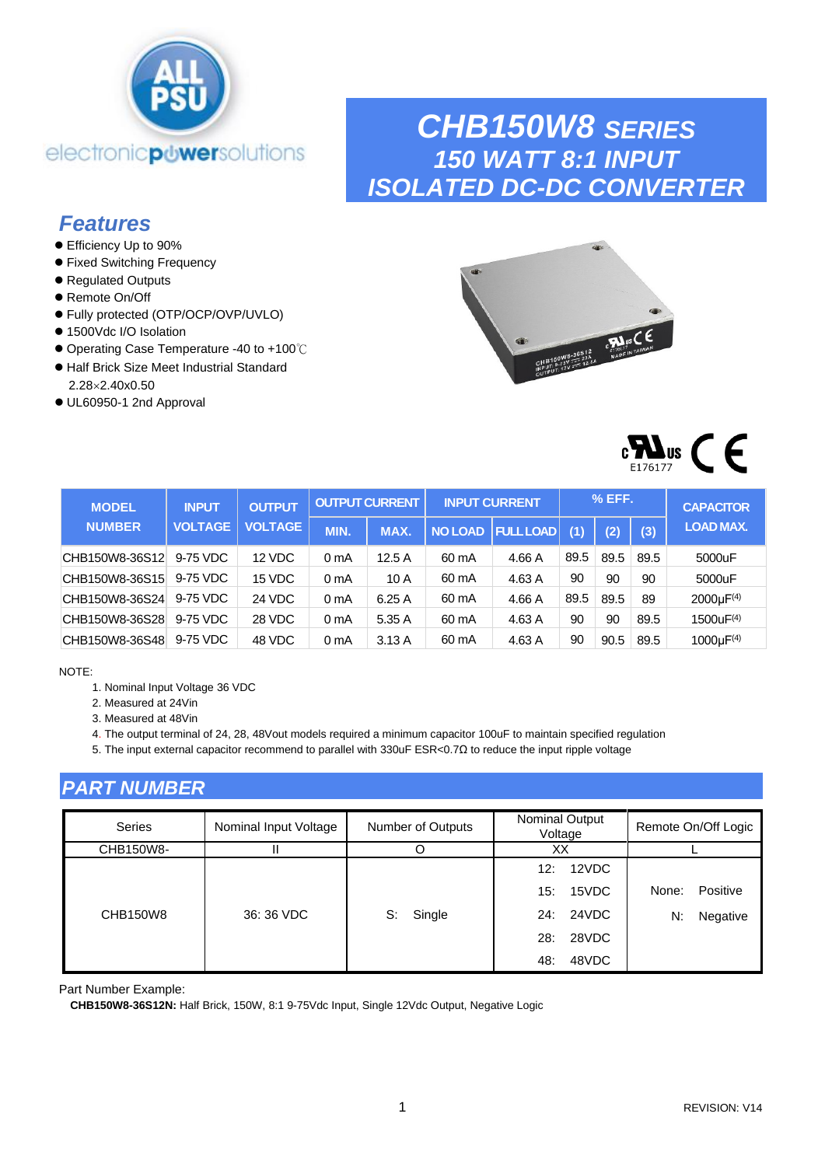

## *CHB150W8 SERIES 150 WATT 8:1 INPUT ISOLATED DC-DC CONVERTER*

## *Features*

- Efficiency Up to 90%
- ⚫ Fixed Switching Frequency
- ⚫ Regulated Outputs
- Remote On/Off
- ⚫ Fully protected (OTP/OCP/OVP/UVLO)
- 1500Vdc I/O Isolation
- ⚫ Operating Case Temperature -40 to +100℃
- ⚫ Half Brick Size Meet Industrial Standard 2.282.40x0.50
- ⚫ UL60950-1 2nd Approval





| <b>MODEL</b>   | <b>INPUT</b>   | <b>OUTPUT</b>  |                  | <b>OUTPUT CURRENT</b> |                | <b>INPUT CURRENT</b> |      | $%$ EFF. |      | <b>CAPACITOR</b>            |
|----------------|----------------|----------------|------------------|-----------------------|----------------|----------------------|------|----------|------|-----------------------------|
| <b>NUMBER</b>  | <b>VOLTAGE</b> | <b>VOLTAGE</b> | <b>MIN.</b>      | MAX.                  | <b>NO LOAD</b> | <b>FULL LOAD</b>     | (1)  | (2)      | (3)  | <b>LOAD MAX.</b>            |
| CHB150W8-36S12 | 9-75 VDC       | 12 VDC         | 0 mA             | 12.5A                 | 60 mA          | 4.66 A               | 89.5 | 89.5     | 89.5 | 5000uF                      |
| CHB150W8-36S15 | 9-75 VDC       | 15 VDC         | 0 <sub>m</sub> A | 10A                   | 60 mA          | 4.63 A               | 90   | 90       | 90   | 5000uF                      |
| CHB150W8-36S24 | 9-75 VDC       | 24 VDC         | 0 mA             | 6.25A                 | 60 mA          | 4.66 A               | 89.5 | 89.5     | 89   | $2000 \mu F^{(4)}$          |
| CHB150W8-36S28 | 9-75 VDC       | 28 VDC         | 0 mA             | 5.35A                 | 60 mA          | 4.63 A               | 90   | 90       | 89.5 | 1500uF(4)                   |
| CHB150W8-36S48 | 9-75 VDC       | 48 VDC         | 0 mA             | 3.13A                 | 60 mA          | 4.63 A               | 90   | 90.5     | 89.5 | 1000 $\mu$ F <sup>(4)</sup> |

#### NOTE:

- 1. Nominal Input Voltage 36 VDC
- 2. Measured at 24Vin
- 3. Measured at 48Vin

4. The output terminal of 24, 28, 48Vout models required a minimum capacitor 100uF to maintain specified regulation

5. The input external capacitor recommend to parallel with 330uF ESR<0.7Ω to reduce the input ripple voltage

### *PART NUMBER*

| Series    | Nominal Input Voltage | Number of Outputs | Nominal Output<br>Voltage | Remote On/Off Logic |
|-----------|-----------------------|-------------------|---------------------------|---------------------|
| CHB150W8- |                       |                   | XX                        |                     |
|           |                       |                   | 12VDC<br>12:              |                     |
|           |                       |                   | 15VDC<br>15:              | None:<br>Positive   |
| CHB150W8  | 36: 36 VDC            | Single<br>S:      | 24: 24VDC                 | N:<br>Negative      |
|           |                       |                   | 28VDC<br>28:              |                     |
|           |                       |                   | 48VDC<br>48:              |                     |

Part Number Example:

**CHB150W8-36S12N:** Half Brick, 150W, 8:1 9-75Vdc Input, Single 12Vdc Output, Negative Logic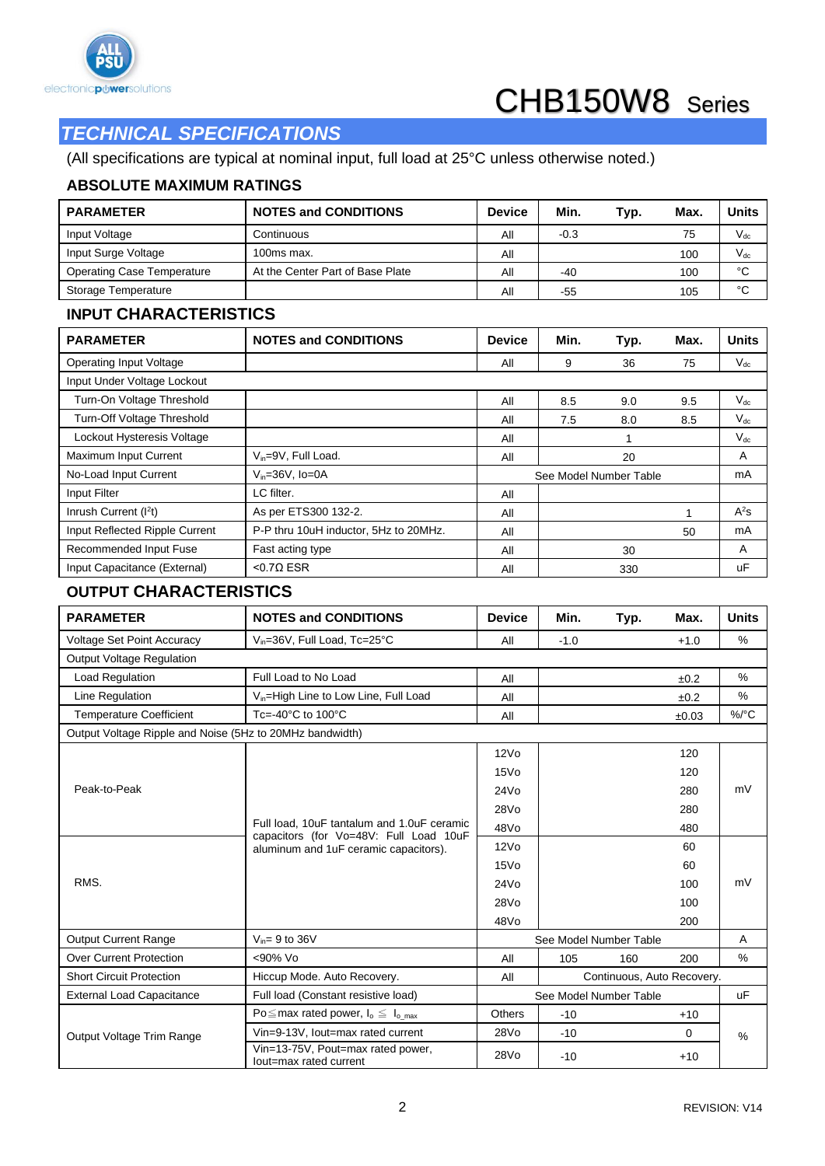

## *TECHNICAL SPECIFICATIONS*

(All specifications are typical at nominal input, full load at 25°C unless otherwise noted.)

#### **ABSOLUTE MAXIMUM RATINGS**

| <b>PARAMETER</b>                  | <b>NOTES and CONDITIONS</b>      | <b>Device</b> | Min.   | Typ. | Max. | <b>Units</b> |
|-----------------------------------|----------------------------------|---------------|--------|------|------|--------------|
| Input Voltage                     | Continuous                       | All           | $-0.3$ |      | 75   | $V_{dc}$     |
| Input Surge Voltage               | 100ms max.                       | All           |        |      | 100  | $V_{dc}$     |
| <b>Operating Case Temperature</b> | At the Center Part of Base Plate | All           | $-40$  |      | 100  | °C           |
| Storage Temperature               |                                  | All           | -55    |      | 105  | °C           |

#### **INPUT CHARACTERISTICS**

| <b>PARAMETER</b>               | <b>NOTES and CONDITIONS</b>           | <b>Device</b> | Min. | Typ.                   | Max. | <b>Units</b> |
|--------------------------------|---------------------------------------|---------------|------|------------------------|------|--------------|
| <b>Operating Input Voltage</b> |                                       | All           | 9    | 36                     | 75   | $V_{dc}$     |
| Input Under Voltage Lockout    |                                       |               |      |                        |      |              |
| Turn-On Voltage Threshold      |                                       | All           | 8.5  | 9.0                    | 9.5  | $V_{dc}$     |
| Turn-Off Voltage Threshold     |                                       | All           | 7.5  | 8.0                    | 8.5  | $V_{dc}$     |
| Lockout Hysteresis Voltage     |                                       | All           |      |                        |      | $V_{dc}$     |
| Maximum Input Current          | $V_{in} = 9V$ , Full Load.            | All           |      | 20                     |      | A            |
| No-Load Input Current          | $V_{in}=36V$ , Io=0A                  |               |      | See Model Number Table |      | mA           |
| Input Filter                   | LC filter.                            | All           |      |                        |      |              |
| Inrush Current $(l2t)$         | As per ETS300 132-2.                  | All           |      |                        |      | $A^2S$       |
| Input Reflected Ripple Current | P-P thru 10uH inductor, 5Hz to 20MHz. | All           |      |                        | 50   | mA           |
| Recommended Input Fuse         | Fast acting type                      | All           |      | 30                     |      | A            |
| Input Capacitance (External)   | $< 0.70$ ESR                          | All<br>330    |      |                        |      | uF           |

### **OUTPUT CHARACTERISTICS**

| <b>PARAMETER</b>                                         | <b>NOTES and CONDITIONS</b>                                                          | <b>Device</b>    | Min.   | Typ.                       | Max.   | <b>Units</b> |  |
|----------------------------------------------------------|--------------------------------------------------------------------------------------|------------------|--------|----------------------------|--------|--------------|--|
| <b>Voltage Set Point Accuracy</b>                        | V <sub>in</sub> =36V, Full Load, Tc=25°C                                             | All              | $-1.0$ |                            | $+1.0$ | %            |  |
| <b>Output Voltage Regulation</b>                         |                                                                                      |                  |        |                            |        |              |  |
| <b>Load Regulation</b>                                   | Full Load to No Load                                                                 | All              |        |                            | ±0.2   | %            |  |
| Line Regulation                                          | V <sub>in</sub> =High Line to Low Line, Full Load                                    | All              |        |                            | ±0.2   | %            |  |
| <b>Temperature Coefficient</b>                           | $Tc = -40^{\circ}C$ to $100^{\circ}C$                                                | All              |        |                            | ±0.03  | $\%$ /°C     |  |
| Output Voltage Ripple and Noise (5Hz to 20MHz bandwidth) |                                                                                      |                  |        |                            |        |              |  |
| Peak-to-Peak                                             |                                                                                      | 12V <sub>O</sub> |        |                            | 120    |              |  |
|                                                          |                                                                                      | 15V <sub>O</sub> |        |                            | 120    | mV           |  |
|                                                          |                                                                                      | 24V <sub>0</sub> |        |                            | 280    |              |  |
|                                                          |                                                                                      | 28V <sub>0</sub> |        |                            | 280    |              |  |
|                                                          | Full load, 10uF tantalum and 1.0uF ceramic<br>capacitors (for Vo=48V: Full Load 10uF | 48Vo             |        |                            | 480    |              |  |
|                                                          | aluminum and 1uF ceramic capacitors).                                                | 12V <sub>O</sub> |        |                            | 60     |              |  |
|                                                          |                                                                                      | 15V <sub>O</sub> |        |                            | 60     |              |  |
| RMS.                                                     |                                                                                      | 24V <sub>O</sub> |        |                            | 100    | mV           |  |
|                                                          |                                                                                      | 28V <sub>0</sub> |        |                            | 100    |              |  |
|                                                          |                                                                                      | 48V <sub>O</sub> |        |                            | 200    |              |  |
| <b>Output Current Range</b>                              | $V_{in}= 9$ to 36V                                                                   |                  |        | See Model Number Table     |        | A            |  |
| <b>Over Current Protection</b>                           | <90% Vo                                                                              | All              | 105    | 160                        | 200    | %            |  |
| <b>Short Circuit Protection</b>                          | Hiccup Mode. Auto Recovery.                                                          | All              |        | Continuous, Auto Recovery. |        |              |  |
| <b>External Load Capacitance</b>                         | Full load (Constant resistive load)                                                  |                  |        | See Model Number Table     |        | <b>uF</b>    |  |
|                                                          | Po $\leq$ max rated power, $I_o \leq I_o$ max                                        | <b>Others</b>    | $-10$  |                            | $+10$  |              |  |
| Output Voltage Trim Range                                | Vin=9-13V, lout=max rated current                                                    | 28Vo             | $-10$  |                            | 0      | $\%$         |  |
|                                                          | Vin=13-75V, Pout=max rated power,<br>lout=max rated current                          | 28Vo             | $-10$  |                            | $+10$  |              |  |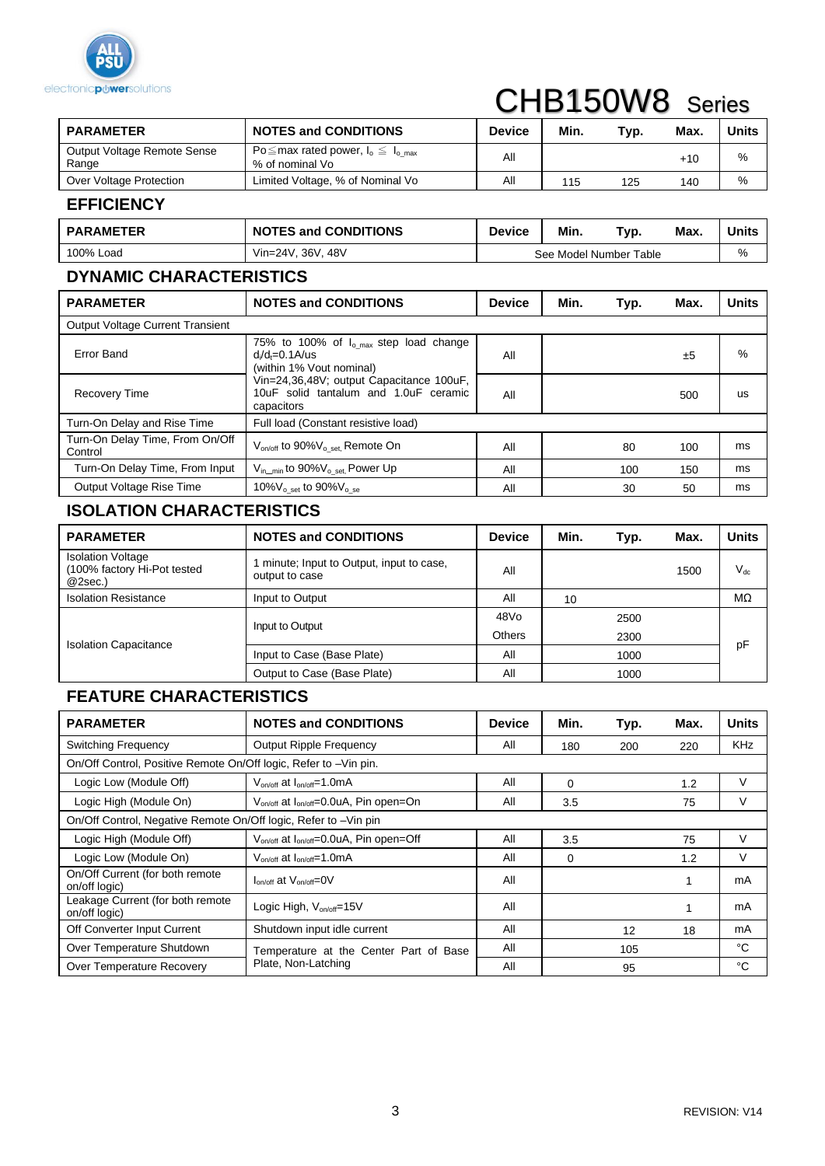

# CHB150W8 Series

| <b>PARAMETER</b>                     | <b>NOTES and CONDITIONS</b>                                      | <b>Device</b> | Min. | Typ. | Max.  | <b>Units</b> |
|--------------------------------------|------------------------------------------------------------------|---------------|------|------|-------|--------------|
| Output Voltage Remote Sense<br>Range | Po $\leq$ max rated power, $I_0 \leq I_0$ max<br>% of nominal Vo | ΑIΙ           |      |      | $+10$ | %            |
| Over Voltage Protection              | Limited Voltage, % of Nominal Vo                                 | ΑIΙ           | 115  | 125  | 140   | %            |

#### **EFFICIENCY**

| <b>PARAMETER</b> | <b>NOTES and CONDITIONS</b> | <b>Device</b> | Min. | Typ.                   | Max. | <b>Units</b> |
|------------------|-----------------------------|---------------|------|------------------------|------|--------------|
| 100% Load        | Vin=24V, 36V, 48V           |               |      | See Model Number Table |      | %            |

## **DYNAMIC CHARACTERISTICS**

| <b>PARAMETER</b>                           | <b>NOTES and CONDITIONS</b>                                                                     | <b>Device</b> | Min. | Typ. | Max. | <b>Units</b> |  |
|--------------------------------------------|-------------------------------------------------------------------------------------------------|---------------|------|------|------|--------------|--|
| Output Voltage Current Transient           |                                                                                                 |               |      |      |      |              |  |
| Error Band                                 | 75% to 100% of $I_{o max}$ step load change<br>$d/d_f = 0.1$ A/us<br>(within 1% Vout nominal)   | All           |      |      | ±5   | $\%$         |  |
| <b>Recovery Time</b>                       | Vin=24,36,48V; output Capacitance 100uF,<br>10uF solid tantalum and 1.0uF ceramic<br>capacitors | All           |      |      | 500  | us           |  |
| Turn-On Delay and Rise Time                | Full load (Constant resistive load)                                                             |               |      |      |      |              |  |
| Turn-On Delay Time, From On/Off<br>Control | V <sub>on/off</sub> to 90%V <sub>o_set</sub> , Remote On                                        | All           |      | 80   | 100  | ms           |  |
| Turn-On Delay Time, From Input             | $V_{\text{in\_min}}$ to $90\%V_{\text{o\_set}}$ , Power Up                                      | All           |      | 100  | 150  | ms           |  |
| Output Voltage Rise Time                   | 10% $V_{0}$ set to 90% $V_{0}$ se                                                               | All           |      | 30   | 50   | ms           |  |

## **ISOLATION CHARACTERISTICS**

| <b>PARAMETER</b>                                                   | <b>NOTES and CONDITIONS</b>                               | <b>Device</b> | Min. | Typ. | Max. | <b>Units</b> |
|--------------------------------------------------------------------|-----------------------------------------------------------|---------------|------|------|------|--------------|
| <b>Isolation Voltage</b><br>(100% factory Hi-Pot tested<br>@2sec.) | minute; Input to Output, input to case,<br>output to case | All           |      |      | 1500 | $V_{dc}$     |
| <b>Isolation Resistance</b>                                        | Input to Output                                           | All           | 10   |      |      | MΩ           |
|                                                                    | Input to Output                                           | 48Vo          |      | 2500 |      |              |
| <b>Isolation Capacitance</b>                                       |                                                           | <b>Others</b> |      | 2300 |      |              |
|                                                                    | Input to Case (Base Plate)                                | All           |      | 1000 |      | pF           |
|                                                                    | Output to Case (Base Plate)                               | All           |      | 1000 |      |              |

#### **FEATURE CHARACTERISTICS**

| <b>PARAMETER</b>                                                 | <b>NOTES and CONDITIONS</b>                                     | <b>Device</b> | Min.     | Typ. | Max. | <b>Units</b> |
|------------------------------------------------------------------|-----------------------------------------------------------------|---------------|----------|------|------|--------------|
| <b>Switching Frequency</b>                                       | <b>Output Ripple Frequency</b>                                  | All           | 180      | 200  | 220  | KHz          |
| On/Off Control, Positive Remote On/Off logic, Refer to -Vin pin. |                                                                 |               |          |      |      |              |
| Logic Low (Module Off)                                           | $V_{on/off}$ at $I_{on/off}$ =1.0mA                             | All           | $\Omega$ |      | 1.2  | V            |
| Logic High (Module On)                                           | V <sub>on/off</sub> at I <sub>on/off</sub> =0.0uA, Pin open=On  | All           | 3.5      |      | 75   | V            |
| On/Off Control, Negative Remote On/Off logic, Refer to -Vin pin  |                                                                 |               |          |      |      |              |
| Logic High (Module Off)                                          | V <sub>on/off</sub> at l <sub>on/off</sub> =0.0uA, Pin open=Off | All           | 3.5      |      | 75   | V            |
| Logic Low (Module On)                                            | $V_{on/off}$ at $I_{on/off} = 1.0 \text{mA}$                    | All           | $\Omega$ |      | 1.2  | V            |
| On/Off Current (for both remote<br>on/off logic)                 | $I_{\text{on/off}}$ at $V_{\text{on/off}} = 0V$                 | All           |          |      |      | mA           |
| Leakage Current (for both remote<br>on/off logic)                | Logic High, $V_{on/off}=15V$                                    | All           |          |      |      | mA           |
| Off Converter Input Current                                      | Shutdown input idle current                                     | All           |          | 12   | 18   | mA           |
| Over Temperature Shutdown                                        | Temperature at the Center Part of Base                          | All           |          | 105  |      | °C           |
| Over Temperature Recovery                                        | Plate, Non-Latching                                             | All           |          | 95   |      | °C           |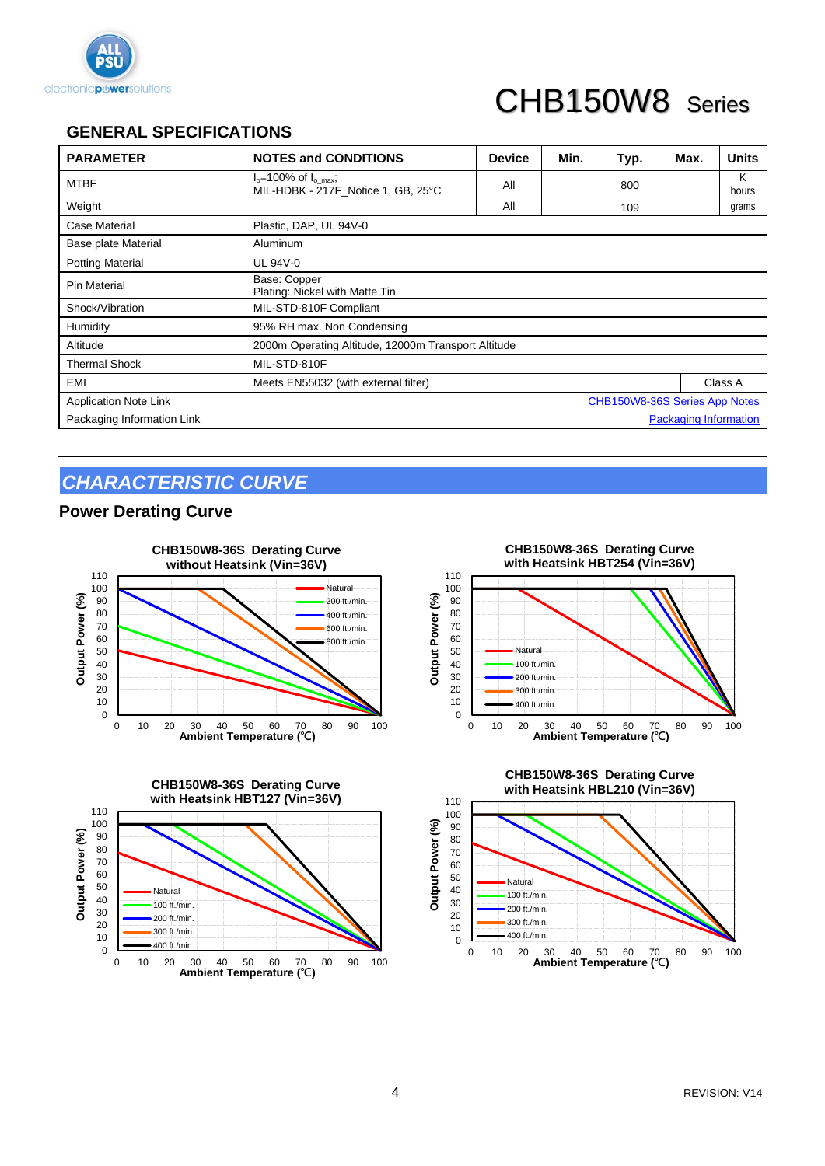

## CHB150W8 Series

## **GENERAL SPECIFICATIONS**

| <b>PARAMETER</b>                                              | <b>NOTES and CONDITIONS</b>                                   | <b>Device</b> | Min. | Typ. | Max. | <b>Units</b> |
|---------------------------------------------------------------|---------------------------------------------------------------|---------------|------|------|------|--------------|
| <b>MTBF</b>                                                   | $Io=100%$ of $Io max$ ;<br>MIL-HDBK - 217F_Notice 1, GB, 25°C | All           |      | 800  |      | Κ<br>hours   |
| Weight                                                        |                                                               | All           |      | 109  |      | grams        |
| Case Material                                                 | Plastic, DAP, UL 94V-0                                        |               |      |      |      |              |
| Base plate Material                                           | Aluminum                                                      |               |      |      |      |              |
| <b>Potting Material</b>                                       | UL 94V-0                                                      |               |      |      |      |              |
| Pin Material                                                  | Base: Copper<br>Plating: Nickel with Matte Tin                |               |      |      |      |              |
| Shock/Vibration                                               | MIL-STD-810F Compliant                                        |               |      |      |      |              |
| Humidity                                                      | 95% RH max. Non Condensing                                    |               |      |      |      |              |
| Altitude                                                      | 2000m Operating Altitude, 12000m Transport Altitude           |               |      |      |      |              |
| <b>Thermal Shock</b>                                          | MIL-STD-810F                                                  |               |      |      |      |              |
| EMI                                                           | Meets EN55032 (with external filter)                          |               |      |      |      | Class A      |
| CHB150W8-36S Series App Notes<br><b>Application Note Link</b> |                                                               |               |      |      |      |              |
| Packaging Information Link                                    | <b>Packaging Information</b>                                  |               |      |      |      |              |

## *CHARACTERISTIC CURVE*

#### **Power Derating Curve**









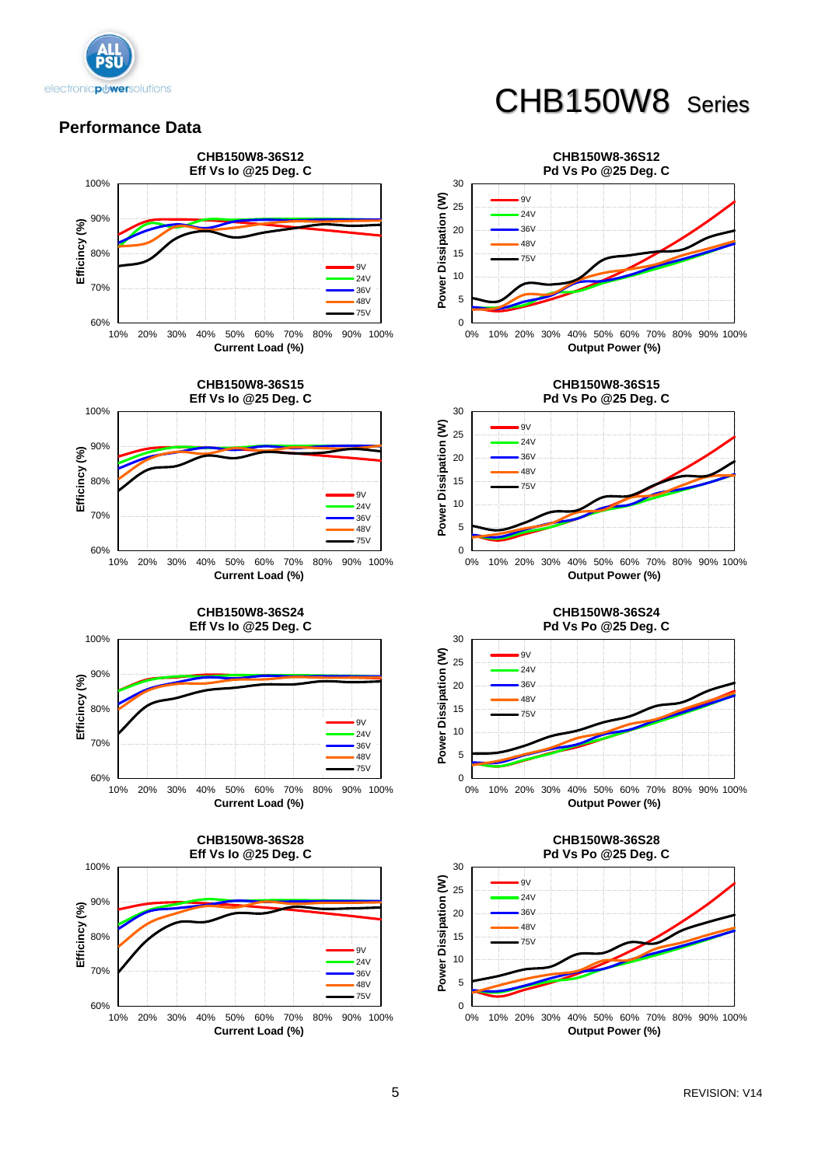

#### **Performance Data**



## CHB150W8 Series







**CHB150W8-36S24 Pd Vs Po @25 Deg. C**